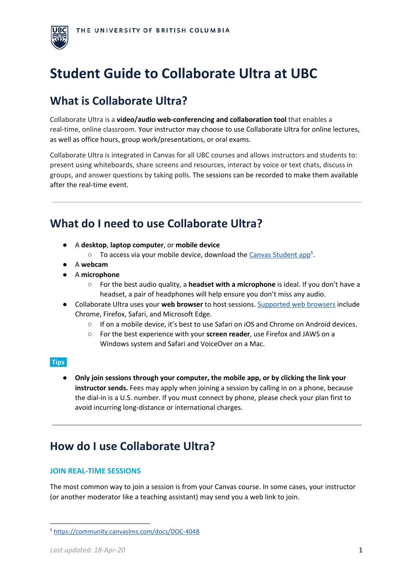

# **Student Guide to Collaborate Ultra at UBC**

# **What is Collaborate Ultra?**

Collaborate Ultra is a **video/audio web-conferencing and collaboration tool** that enables a real-time, online classroom. Your instructor may choose to use Collaborate Ultra for online lectures, as well as office hours, group work/presentations, or oral exams.

Collaborate Ultra is integrated in Canvas for all UBC courses and allows instructors and students to: present using whiteboards, share screens and resources, interact by voice or text chats, discuss in groups, and answer questions by taking polls. The sessions can be recorded to make them available after the real-time event.

# **What do I need to use Collaborate Ultra?**

- A **desktop**, **laptop computer**, or **mobile device**
	- $\circ$  To access via your mobile device, download the Canvas [Student](https://community.canvaslms.com/docs/DOC-4048) app<sup>1</sup>.
- **●** A **webcam**
- **●** A **microphone**
	- **○** For the best audio quality, a **headset with a microphone** is ideal. If you don't have a headset, a pair of headphones will help ensure you don't miss any audio.
- Collaborate Ultra uses your **web browser** to host sessions. [Supported](https://help.blackboard.com/Collaborate/Ultra/Moderator/Get_Started/Browser_Support) web browsers include Chrome, Firefox, Safari, and Microsoft Edge.
	- If on a mobile device, it's best to use Safari on iOS and Chrome on Android devices.
	- For the best experience with your **screen reader**, use Firefox and JAWS on a Windows system and Safari and VoiceOver on a Mac.

# **Tips:**

● **Only join sessions through your computer, the mobile app, or by clicking the link your instructor sends.** Fees may apply when joining a session by calling in on a phone, because the dial-in is a U.S. number. If you must connect by phone, please check your plan first to avoid incurring long-distance or international charges.

# **How do I use Collaborate Ultra?**

# **JOIN REAL-TIME SESSIONS**

The most common way to join a session is from your Canvas course. In some cases, your instructor (or another moderator like a teaching assistant) may send you a web link to join.

<sup>1</sup> <https://community.canvaslms.com/docs/DOC-4048>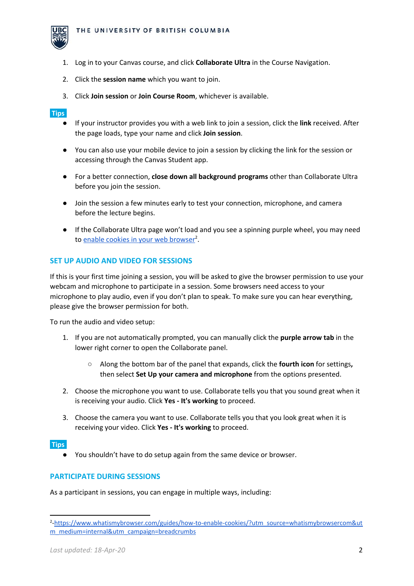

- 1. Log in to your Canvas course, and click **Collaborate Ultra** in the Course Navigation.
- 2. Click the **session name** which you want to join.
- 3. Click **Join session** or **Join Course Room**, whichever is available.

### **Tips:**

- If your instructor provides you with a web link to join a session, click the **link** received. After the page loads, type your name and click **Join session**.
- You can also use your mobile device to join a session by clicking the link for the session or accessing through the Canvas Student app.
- For a better connection, **close down all background programs** other than Collaborate Ultra before you join the session.
- Join the session a few minutes early to test your connection, microphone, and camera before the lecture begins.
- If the Collaborate Ultra page won't load and you see a spinning purple wheel, you may need to enable cookies in your web [browser](https://www.whatismybrowser.com/guides/how-to-enable-cookies/?utm_source=whatismybrowsercom&utm_medium=internal&utm_campaign=breadcrumbs)<sup>2</sup>.

### **SET UP AUDIO AND VIDEO FOR SESSIONS**

If this is your first time joining a session, you will be asked to give the browser permission to use your webcam and microphone to participate in a session. Some browsers need access to your microphone to play audio, even if you don't plan to speak. To make sure you can hear everything, please give the browser permission for both.

To run the audio and video setup:

- 1. If you are not automatically prompted, you can manually click the **purple arrow tab** in the lower right corner to open the Collaborate panel.
	- Along the bottom bar of the panel that expands, click the **fourth icon** for settings**,** then select **Set Up your camera and microphone** from the options presented.
- 2. Choose the microphone you want to use. Collaborate tells you that you sound great when it is receiving your audio. Click **Yes - It's working** to proceed.
- 3. Choose the camera you want to use. Collaborate tells you that you look great when it is receiving your video. Click **Yes - It's working** to proceed.

#### **Tips:**

● You shouldn't have to do setup again from the same device or browser.

# **PARTICIPATE DURING SESSIONS**

As a participant in sessions, you can engage in multiple ways, including:

<sup>2</sup> [-https://www.whatismybrowser.com/guides/how-to-enable-cookies/?utm\\_source=whatismybrowsercom&ut](https://www.whatismybrowser.com/guides/how-to-enable-cookies/?utm_source=whatismybrowsercom&utm_medium=internal&utm_campaign=breadcrumbs) [m\\_medium=internal&utm\\_campaign=breadcrumbs](https://www.whatismybrowser.com/guides/how-to-enable-cookies/?utm_source=whatismybrowsercom&utm_medium=internal&utm_campaign=breadcrumbs)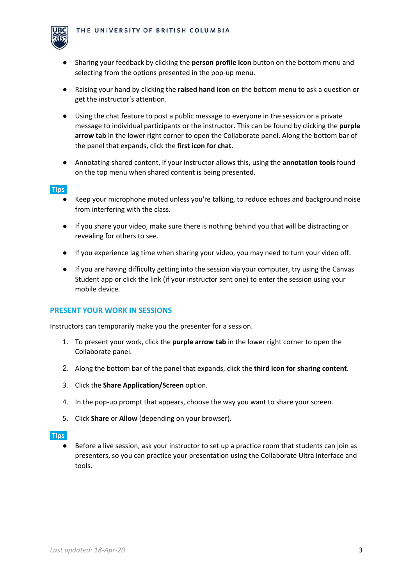

- Sharing your feedback by clicking the **person profile icon** button on the bottom menu and selecting from the options presented in the pop-up menu.
- Raising your hand by clicking the **raised hand icon** on the bottom menu to ask a question or get the instructor's attention.
- Using the chat feature to post a public message to everyone in the session or a private message to individual participants or the instructor. This can be found by clicking the **purple arrow tab** in the lower right corner to open the Collaborate panel. Along the bottom bar of the panel that expands, click the **first icon for chat**.
- Annotating shared content, if your instructor allows this, using the **annotation tools** found on the top menu when shared content is being presented.

### **Tips:**

- Keep your microphone muted unless you're talking, to reduce echoes and background noise from interfering with the class.
- If you share your video, make sure there is nothing behind you that will be distracting or revealing for others to see.
- If you experience lag time when sharing your video, you may need to turn your video off.
- If you are having difficulty getting into the session via your computer, try using the Canvas Student app or click the link (if your instructor sent one) to enter the session using your mobile device.

### **PRESENT YOUR WORK IN SESSIONS**

Instructors can temporarily make you the presenter for a session.

- 1. To present your work, click the **purple arrow tab** in the lower right corner to open the Collaborate panel.
- 2. Along the bottom bar of the panel that expands, click the **third icon for sharing content**.
- 3. Click the **Share Application/Screen** option.
- 4. In the pop-up prompt that appears, choose the way you want to share your screen.
- 5. Click **Share** or **Allow** (depending on your browser).

#### **Tips:**

Before a live session, ask your instructor to set up a practice room that students can join as presenters, so you can practice your presentation using the Collaborate Ultra interface and tools.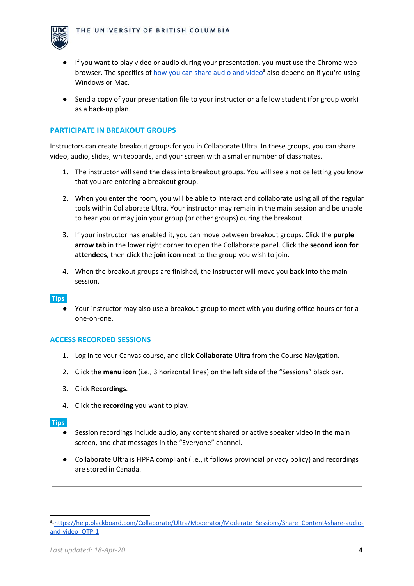

- If you want to play video or audio during your presentation, you must use the Chrome web browser. The specifics of *how you can share [audio](https://help.blackboard.com/Collaborate/Ultra/Moderator/Moderate_Sessions/Share_Content#share-audio-and-video_OTP-1) and video*<sup>3</sup> also depend on if you're using Windows or Mac.
- Send a copy of your presentation file to your instructor or a fellow student (for group work) as a back-up plan.

### **PARTICIPATE IN BREAKOUT GROUPS**

Instructors can create breakout groups for you in Collaborate Ultra. In these groups, you can share video, audio, slides, whiteboards, and your screen with a smaller number of classmates.

- 1. The instructor will send the class into breakout groups. You will see a notice letting you know that you are entering a breakout group.
- 2. When you enter the room, you will be able to interact and collaborate using all of the regular tools within Collaborate Ultra. Your instructor may remain in the main session and be unable to hear you or may join your group (or other groups) during the breakout.
- 3. If your instructor has enabled it, you can move between breakout groups. Click the **purple arrow tab** in the lower right corner to open the Collaborate panel. Click the **second icon for attendees**, then click the **join icon** next to the group you wish to join.
- 4. When the breakout groups are finished, the instructor will move you back into the main session.

#### **Tips:**

● Your instructor may also use a breakout group to meet with you during office hours or for a one-on-one.

### **ACCESS RECORDED SESSIONS**

- 1. Log in to your Canvas course, and click **Collaborate Ultra** from the Course Navigation.
- 2. Click the **menu icon** (i.e., 3 horizontal lines) on the left side of the "Sessions" black bar.
- 3. Click **Recordings**.
- 4. Click the **recording** you want to play.

**Tips:**

- Session recordings include audio, any content shared or active speaker video in the main screen, and chat messages in the "Everyone" channel.
- Collaborate Ultra is FIPPA compliant (i.e., it follows provincial privacy policy) and recordings are stored in Canada.

<sup>3</sup> [-https://help.blackboard.com/Collaborate/Ultra/Moderator/Moderate\\_Sessions/Share\\_Content#share-audio](https://help.blackboard.com/Collaborate/Ultra/Moderator/Moderate_Sessions/Share_Content#share-audio-and-video_OTP-1)[and-video\\_OTP-1](https://help.blackboard.com/Collaborate/Ultra/Moderator/Moderate_Sessions/Share_Content#share-audio-and-video_OTP-1)